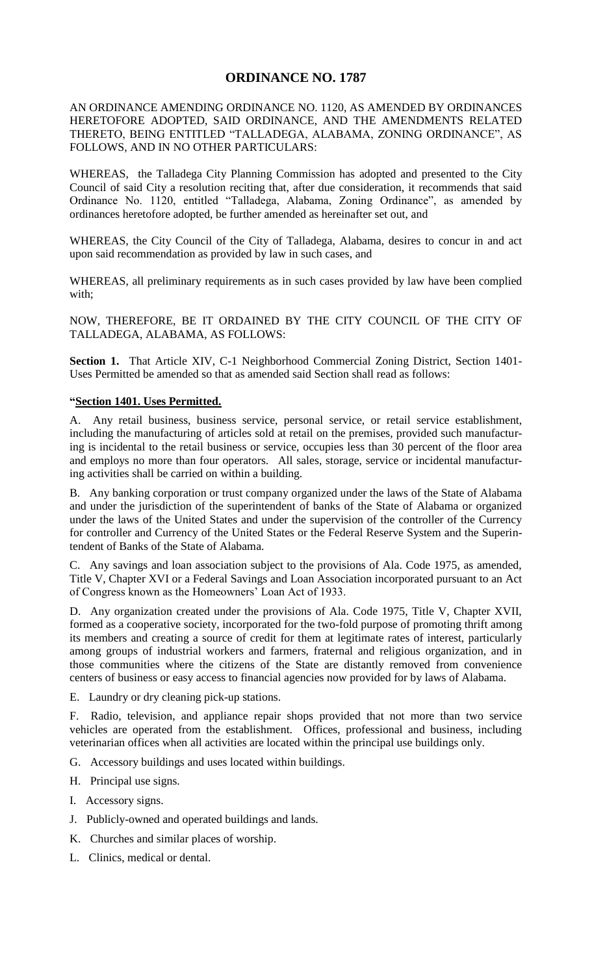## **ORDINANCE NO. 1787**

AN ORDINANCE AMENDING ORDINANCE NO. 1120, AS AMENDED BY ORDINANCES HERETOFORE ADOPTED, SAID ORDINANCE, AND THE AMENDMENTS RELATED THERETO, BEING ENTITLED "TALLADEGA, ALABAMA, ZONING ORDINANCE", AS FOLLOWS, AND IN NO OTHER PARTICULARS:

WHEREAS, the Talladega City Planning Commission has adopted and presented to the City Council of said City a resolution reciting that, after due consideration, it recommends that said Ordinance No. 1120, entitled "Talladega, Alabama, Zoning Ordinance", as amended by ordinances heretofore adopted, be further amended as hereinafter set out, and

WHEREAS, the City Council of the City of Talladega, Alabama, desires to concur in and act upon said recommendation as provided by law in such cases, and

WHEREAS, all preliminary requirements as in such cases provided by law have been complied with;

NOW, THEREFORE, BE IT ORDAINED BY THE CITY COUNCIL OF THE CITY OF TALLADEGA, ALABAMA, AS FOLLOWS:

Section 1. That Article XIV, C-1 Neighborhood Commercial Zoning District, Section 1401-Uses Permitted be amended so that as amended said Section shall read as follows:

## **"Section 1401. Uses Permitted.**

A. Any retail business, business service, personal service, or retail service establishment, including the manufacturing of articles sold at retail on the premises, provided such manufacturing is incidental to the retail business or service, occupies less than 30 percent of the floor area and employs no more than four operators. All sales, storage, service or incidental manufacturing activities shall be carried on within a building.

B. Any banking corporation or trust company organized under the laws of the State of Alabama and under the jurisdiction of the superintendent of banks of the State of Alabama or organized under the laws of the United States and under the supervision of the controller of the Currency for controller and Currency of the United States or the Federal Reserve System and the Superintendent of Banks of the State of Alabama.

C. Any savings and loan association subject to the provisions of Ala. Code 1975, as amended, Title V, Chapter XVI or a Federal Savings and Loan Association incorporated pursuant to an Act of Congress known as the Homeowners' Loan Act of 1933.

D. Any organization created under the provisions of Ala. Code 1975, Title V, Chapter XVII, formed as a cooperative society, incorporated for the two-fold purpose of promoting thrift among its members and creating a source of credit for them at legitimate rates of interest, particularly among groups of industrial workers and farmers, fraternal and religious organization, and in those communities where the citizens of the State are distantly removed from convenience centers of business or easy access to financial agencies now provided for by laws of Alabama.

E. Laundry or dry cleaning pick-up stations.

F. Radio, television, and appliance repair shops provided that not more than two service vehicles are operated from the establishment. Offices, professional and business, including veterinarian offices when all activities are located within the principal use buildings only.

- G. Accessory buildings and uses located within buildings.
- H. Principal use signs.
- I. Accessory signs.
- J. Publicly-owned and operated buildings and lands.
- K. Churches and similar places of worship.
- L. Clinics, medical or dental.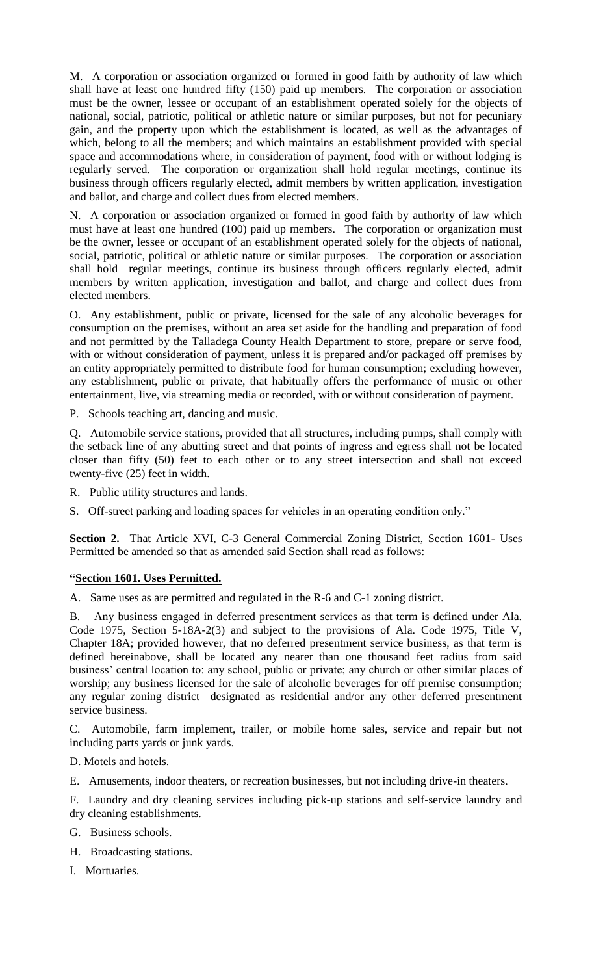M. A corporation or association organized or formed in good faith by authority of law which shall have at least one hundred fifty (150) paid up members. The corporation or association must be the owner, lessee or occupant of an establishment operated solely for the objects of national, social, patriotic, political or athletic nature or similar purposes, but not for pecuniary gain, and the property upon which the establishment is located, as well as the advantages of which, belong to all the members; and which maintains an establishment provided with special space and accommodations where, in consideration of payment, food with or without lodging is regularly served. The corporation or organization shall hold regular meetings, continue its business through officers regularly elected, admit members by written application, investigation and ballot, and charge and collect dues from elected members.

N. A corporation or association organized or formed in good faith by authority of law which must have at least one hundred (100) paid up members. The corporation or organization must be the owner, lessee or occupant of an establishment operated solely for the objects of national, social, patriotic, political or athletic nature or similar purposes. The corporation or association shall hold regular meetings, continue its business through officers regularly elected, admit members by written application, investigation and ballot, and charge and collect dues from elected members.

O. Any establishment, public or private, licensed for the sale of any alcoholic beverages for consumption on the premises, without an area set aside for the handling and preparation of food and not permitted by the Talladega County Health Department to store, prepare or serve food, with or without consideration of payment, unless it is prepared and/or packaged off premises by an entity appropriately permitted to distribute food for human consumption; excluding however, any establishment, public or private, that habitually offers the performance of music or other entertainment, live, via streaming media or recorded, with or without consideration of payment.

P. Schools teaching art, dancing and music.

Q. Automobile service stations, provided that all structures, including pumps, shall comply with the setback line of any abutting street and that points of ingress and egress shall not be located closer than fifty (50) feet to each other or to any street intersection and shall not exceed twenty-five (25) feet in width.

R. Public utility structures and lands.

S. Off-street parking and loading spaces for vehicles in an operating condition only."

Section 2. That Article XVI, C-3 General Commercial Zoning District, Section 1601- Uses Permitted be amended so that as amended said Section shall read as follows:

## **"Section 1601. Uses Permitted.**

A. Same uses as are permitted and regulated in the R-6 and C-1 zoning district.

B. Any business engaged in deferred presentment services as that term is defined under Ala. Code 1975, Section 5-18A-2(3) and subject to the provisions of Ala. Code 1975, Title V, Chapter 18A; provided however, that no deferred presentment service business, as that term is defined hereinabove, shall be located any nearer than one thousand feet radius from said business' central location to: any school, public or private; any church or other similar places of worship; any business licensed for the sale of alcoholic beverages for off premise consumption; any regular zoning district designated as residential and/or any other deferred presentment service business.

C. Automobile, farm implement, trailer, or mobile home sales, service and repair but not including parts yards or junk yards.

D. Motels and hotels.

E. Amusements, indoor theaters, or recreation businesses, but not including drive-in theaters.

F. Laundry and dry cleaning services including pick-up stations and self-service laundry and dry cleaning establishments.

- G. Business schools.
- H. Broadcasting stations.
- I. Mortuaries.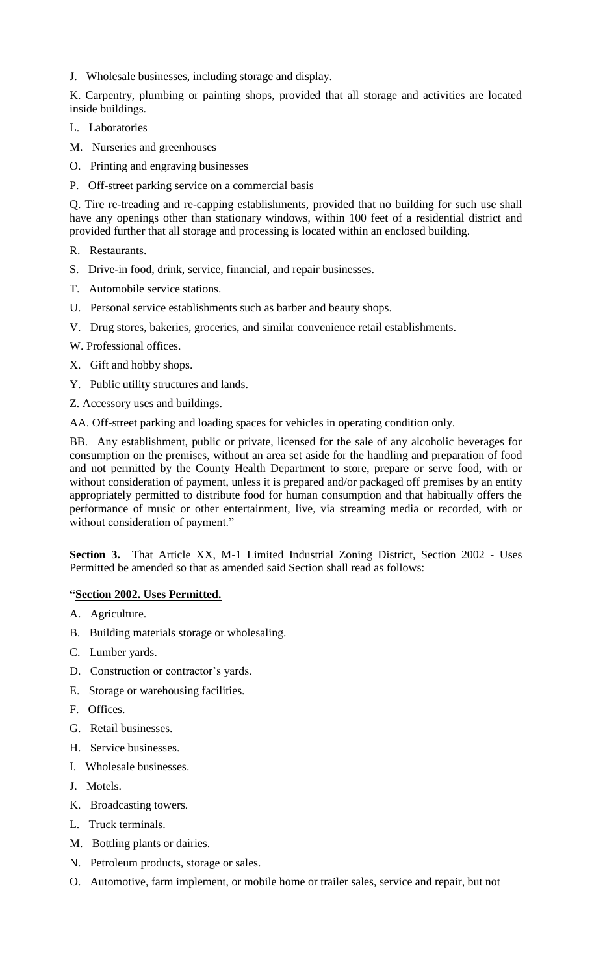J. Wholesale businesses, including storage and display.

K. Carpentry, plumbing or painting shops, provided that all storage and activities are located inside buildings.

- L. Laboratories
- M. Nurseries and greenhouses
- O. Printing and engraving businesses
- P. Off-street parking service on a commercial basis

Q. Tire re-treading and re-capping establishments, provided that no building for such use shall have any openings other than stationary windows, within 100 feet of a residential district and provided further that all storage and processing is located within an enclosed building.

- R. Restaurants.
- S. Drive-in food, drink, service, financial, and repair businesses.
- T. Automobile service stations.
- U. Personal service establishments such as barber and beauty shops.
- V. Drug stores, bakeries, groceries, and similar convenience retail establishments.
- W. Professional offices.
- X. Gift and hobby shops.
- Y. Public utility structures and lands.

Z. Accessory uses and buildings.

AA. Off-street parking and loading spaces for vehicles in operating condition only.

BB. Any establishment, public or private, licensed for the sale of any alcoholic beverages for consumption on the premises, without an area set aside for the handling and preparation of food and not permitted by the County Health Department to store, prepare or serve food, with or without consideration of payment, unless it is prepared and/or packaged off premises by an entity appropriately permitted to distribute food for human consumption and that habitually offers the performance of music or other entertainment, live, via streaming media or recorded, with or without consideration of payment."

**Section 3.** That Article XX, M-1 Limited Industrial Zoning District, Section 2002 - Uses Permitted be amended so that as amended said Section shall read as follows:

## **"Section 2002. Uses Permitted.**

- A. Agriculture.
- B. Building materials storage or wholesaling.
- C. Lumber yards.
- D. Construction or contractor's yards.
- E. Storage or warehousing facilities.
- F. Offices.
- G. Retail businesses.
- H. Service businesses.
- I. Wholesale businesses.
- J. Motels.
- K. Broadcasting towers.
- L. Truck terminals.
- M. Bottling plants or dairies.
- N. Petroleum products, storage or sales.
- O. Automotive, farm implement, or mobile home or trailer sales, service and repair, but not